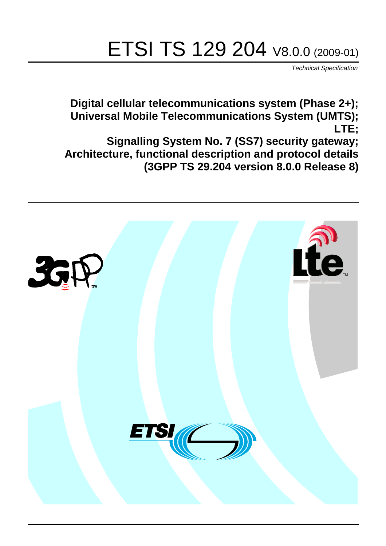# ETSI TS 129 204 V8.0.0 (2009-01)

*Technical Specification*

**Digital cellular telecommunications system (Phase 2+); Universal Mobile Telecommunications System (UMTS); LTE;**

**Signalling System No. 7 (SS7) security gateway; Architecture, functional description and protocol details (3GPP TS 29.204 version 8.0.0 Release 8)**

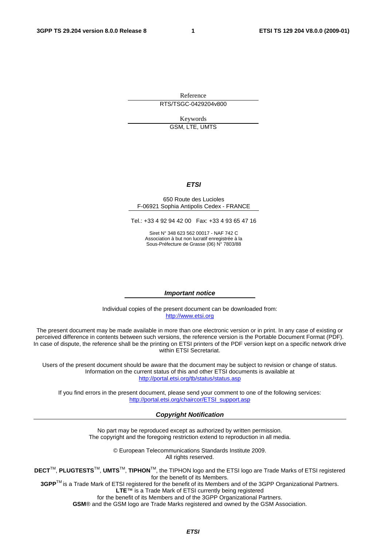Reference RTS/TSGC-0429204v800

> Keywords GSM, LTE, UMTS

## *ETSI*

#### 650 Route des Lucioles F-06921 Sophia Antipolis Cedex - FRANCE

Tel.: +33 4 92 94 42 00 Fax: +33 4 93 65 47 16

Siret N° 348 623 562 00017 - NAF 742 C Association à but non lucratif enregistrée à la Sous-Préfecture de Grasse (06) N° 7803/88

#### *Important notice*

Individual copies of the present document can be downloaded from: [http://www.etsi.org](http://www.etsi.org/)

The present document may be made available in more than one electronic version or in print. In any case of existing or perceived difference in contents between such versions, the reference version is the Portable Document Format (PDF). In case of dispute, the reference shall be the printing on ETSI printers of the PDF version kept on a specific network drive within ETSI Secretariat.

Users of the present document should be aware that the document may be subject to revision or change of status. Information on the current status of this and other ETSI documents is available at <http://portal.etsi.org/tb/status/status.asp>

If you find errors in the present document, please send your comment to one of the following services: [http://portal.etsi.org/chaircor/ETSI\\_support.asp](http://portal.etsi.org/chaircor/ETSI_support.asp)

#### *Copyright Notification*

No part may be reproduced except as authorized by written permission. The copyright and the foregoing restriction extend to reproduction in all media.

> © European Telecommunications Standards Institute 2009. All rights reserved.

**DECT**TM, **PLUGTESTS**TM, **UMTS**TM, **TIPHON**TM, the TIPHON logo and the ETSI logo are Trade Marks of ETSI registered for the benefit of its Members.

**3GPP**TM is a Trade Mark of ETSI registered for the benefit of its Members and of the 3GPP Organizational Partners. **LTE**™ is a Trade Mark of ETSI currently being registered

for the benefit of its Members and of the 3GPP Organizational Partners.

**GSM**® and the GSM logo are Trade Marks registered and owned by the GSM Association.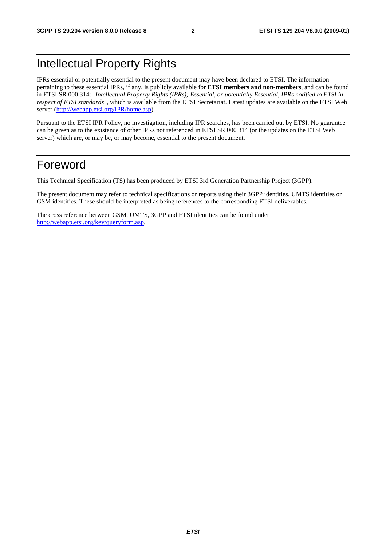### Intellectual Property Rights

IPRs essential or potentially essential to the present document may have been declared to ETSI. The information pertaining to these essential IPRs, if any, is publicly available for **ETSI members and non-members**, and can be found in ETSI SR 000 314: *"Intellectual Property Rights (IPRs); Essential, or potentially Essential, IPRs notified to ETSI in respect of ETSI standards"*, which is available from the ETSI Secretariat. Latest updates are available on the ETSI Web server ([http://webapp.etsi.org/IPR/home.asp\)](http://webapp.etsi.org/IPR/home.asp).

Pursuant to the ETSI IPR Policy, no investigation, including IPR searches, has been carried out by ETSI. No guarantee can be given as to the existence of other IPRs not referenced in ETSI SR 000 314 (or the updates on the ETSI Web server) which are, or may be, or may become, essential to the present document.

### Foreword

This Technical Specification (TS) has been produced by ETSI 3rd Generation Partnership Project (3GPP).

The present document may refer to technical specifications or reports using their 3GPP identities, UMTS identities or GSM identities. These should be interpreted as being references to the corresponding ETSI deliverables.

The cross reference between GSM, UMTS, 3GPP and ETSI identities can be found under [http://webapp.etsi.org/key/queryform.asp.](http://webapp.etsi.org/key/queryform.asp)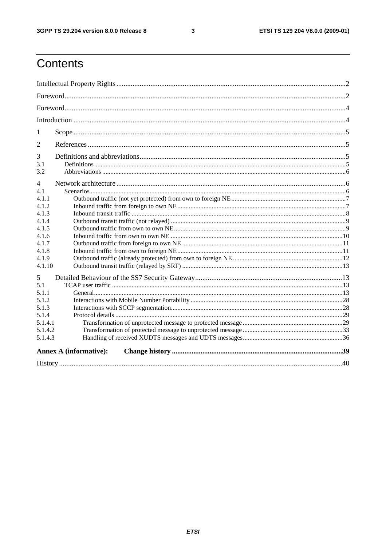$\mathbf{3}$ 

## Contents

| 1              |                               |  |  |
|----------------|-------------------------------|--|--|
| 2              |                               |  |  |
| 3              |                               |  |  |
| 3.1<br>3.2     |                               |  |  |
| $\overline{4}$ |                               |  |  |
|                |                               |  |  |
| 4.1<br>4.1.1   |                               |  |  |
| 4.1.2          |                               |  |  |
| 4.1.3          |                               |  |  |
| 4.1.4          |                               |  |  |
| 4.1.5          |                               |  |  |
| 4.1.6          |                               |  |  |
| 4.1.7          |                               |  |  |
| 4.1.8          |                               |  |  |
| 4.1.9          |                               |  |  |
| 4.1.10         |                               |  |  |
| 5              |                               |  |  |
| 5.1            |                               |  |  |
| 5.1.1          |                               |  |  |
| 5.1.2          |                               |  |  |
| 5.1.3          |                               |  |  |
| 5.1.4          |                               |  |  |
| 5.1.4.1        |                               |  |  |
| 5.1.4.2        |                               |  |  |
| 5.1.4.3        |                               |  |  |
|                | <b>Annex A (informative):</b> |  |  |
|                |                               |  |  |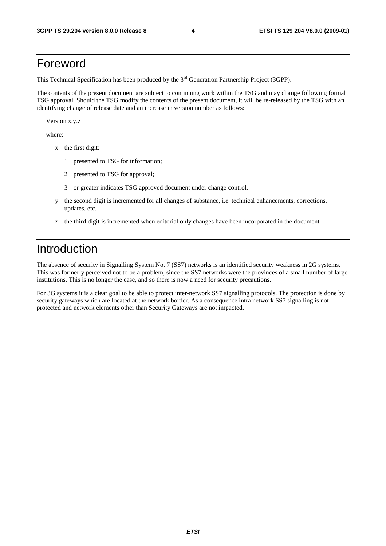### Foreword

This Technical Specification has been produced by the 3<sup>rd</sup> Generation Partnership Project (3GPP).

The contents of the present document are subject to continuing work within the TSG and may change following formal TSG approval. Should the TSG modify the contents of the present document, it will be re-released by the TSG with an identifying change of release date and an increase in version number as follows:

Version x.y.z

where:

- x the first digit:
	- 1 presented to TSG for information;
	- 2 presented to TSG for approval;
	- 3 or greater indicates TSG approved document under change control.
- y the second digit is incremented for all changes of substance, i.e. technical enhancements, corrections, updates, etc.
- z the third digit is incremented when editorial only changes have been incorporated in the document.

### Introduction

The absence of security in Signalling System No. 7 (SS7) networks is an identified security weakness in 2G systems. This was formerly perceived not to be a problem, since the SS7 networks were the provinces of a small number of large institutions. This is no longer the case, and so there is now a need for security precautions.

For 3G systems it is a clear goal to be able to protect inter-network SS7 signalling protocols. The protection is done by security gateways which are located at the network border. As a consequence intra network SS7 signalling is not protected and network elements other than Security Gateways are not impacted.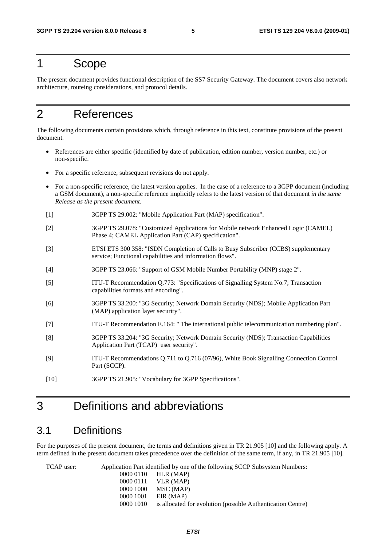### 1 Scope

The present document provides functional description of the SS7 Security Gateway. The document covers also network architecture, routeing considerations, and protocol details.

### 2 References

The following documents contain provisions which, through reference in this text, constitute provisions of the present document.

- References are either specific (identified by date of publication, edition number, version number, etc.) or non-specific.
- For a specific reference, subsequent revisions do not apply.
- For a non-specific reference, the latest version applies. In the case of a reference to a 3GPP document (including a GSM document), a non-specific reference implicitly refers to the latest version of that document *in the same Release as the present document*.
- [1] 3GPP TS 29.002: "Mobile Application Part (MAP) specification".
- [2] 3GPP TS 29.078: "Customized Applications for Mobile network Enhanced Logic (CAMEL) Phase 4; CAMEL Application Part (CAP) specification".
- [3] ETSI ETS 300 358: "ISDN Completion of Calls to Busy Subscriber (CCBS) supplementary service; Functional capabilities and information flows".
- [4] 3GPP TS 23.066: "Support of GSM Mobile Number Portability (MNP) stage 2".
- [5] ITU-T Recommendation Q.773: "Specifications of Signalling System No.7; Transaction capabilities formats and encoding".
- [6] 3GPP TS 33.200: "3G Security; Network Domain Security (NDS); Mobile Application Part (MAP) application layer security".
- [7] ITU-T Recommendation E.164: " The international public telecommunication numbering plan".
- [8] 3GPP TS 33.204: "3G Security; Network Domain Security (NDS); Transaction Capabilities Application Part (TCAP) user security".
- [9] ITU-T Recommendations Q.711 to Q.716 (07/96), White Book Signalling Connection Control Part (SCCP).
- [10] 3GPP TS 21.905: "Vocabulary for 3GPP Specifications".

### 3 Definitions and abbreviations

### 3.1 Definitions

For the purposes of the present document, the terms and definitions given in TR 21.905 [10] and the following apply. A term defined in the present document takes precedence over the definition of the same term, if any, in TR 21.905 [10].

TCAP user: Application Part identified by one of the following SCCP Subsystem Numbers: 0000 0110 HLR (MAP) 0000 0111 VLR (MAP) 0000 1000 MSC (MAP) 0000 1001 EIR (MAP) 0000 1010 is allocated for evolution (possible Authentication Centre)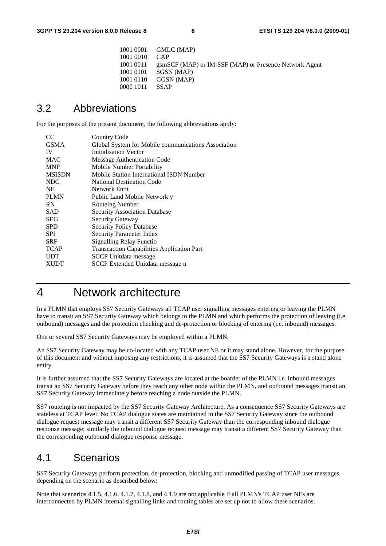```
 1001 0001 GMLC (MAP) 
 1001 0010 CAP 
 1001 0011 gsmSCF (MAP) or IM-SSF (MAP) or Presence Network Agent 
 1001 0101 SGSN (MAP) 
 1001 0110 GGSN (MAP) 
 0000 1011 SSAP
```
### 3.2 Abbreviations

For the purposes of the present document, the following abbreviations apply:

| CC            | Country Code                                        |
|---------------|-----------------------------------------------------|
| <b>GSMA</b>   | Global System for Mobile communications Association |
| IV            | Initialisation Vector                               |
| <b>MAC</b>    | <b>Message Authentication Code</b>                  |
| <b>MNP</b>    | Mobile Number Portability                           |
| <b>MSISDN</b> | Mobile Station International ISDN Number            |
| NDC           | <b>National Destination Code</b>                    |
| NE.           | Network Entit                                       |
| <b>PLMN</b>   | Public Land Mobile Network y                        |
| <b>RN</b>     | Routeing Number                                     |
| SAD           | <b>Security Association Database</b>                |
| <b>SEG</b>    | Security Gateway                                    |
| <b>SPD</b>    | <b>Security Policy Database</b>                     |
| <b>SPI</b>    | <b>Security Parameter Index</b>                     |
| <b>SRF</b>    | <b>Signalling Relay Functio</b>                     |
| <b>TCAP</b>   | <b>Transcaction Capabilities Application Part</b>   |
| <b>UDT</b>    | <b>SCCP</b> Unitdata message                        |
| <b>XUDT</b>   | SCCP Extended Unitdata message n                    |
|               |                                                     |

### 4 Network architecture

In a PLMN that employs SS7 Security Gateways all TCAP user signalling messages entering or leaving the PLMN have to transit an SS7 Security Gateway which belongs to the PLMN and which performs the protection of leaving (i.e. outbound) messages and the protection checking and de-protection or blocking of entering (i.e. inbound) messages.

One or several SS7 Security Gateways may be employed within a PLMN.

An SS7 Security Gateway may be co-located with any TCAP user NE or it may stand alone. However, for the purpose of this document and without imposing any restrictions, it is assumed that the SS7 Security Gateways is a stand alone entity.

It is further assumed that the SS7 Security Gateways are located at the boarder of the PLMN i.e. inbound messages transit an SS7 Security Gateway before they reach any other node within the PLMN, and outbound messages transit an SS7 Security Gateway immediately before reaching a node outside the PLMN.

SS7 routeing is not impacted by the SS7 Security Gateway Architecture. As a consequence SS7 Security Gateways are stateless at TCAP level: No TCAP dialogue states are maintained in the SS7 Security Gateway since the outbound dialogue request message may transit a different SS7 Security Gateway than the corresponding inbound dialogue response message; similarly the inbound dialogue request message may transit a different SS7 Security Gateway than the corresponding outbound dialogue response message.

### 4.1 Scenarios

SS7 Security Gateways perform protection, de-protection, blocking and unmodified passing of TCAP user messages depending on the scenario as described below:

Note that scenarios 4.1.5, 4.1.6, 4.1.7, 4.1.8, and 4.1.9 are not applicable if all PLMN's TCAP user NEs are interconnected by PLMN internal signalling links and routing tables are set up not to allow these scenarios.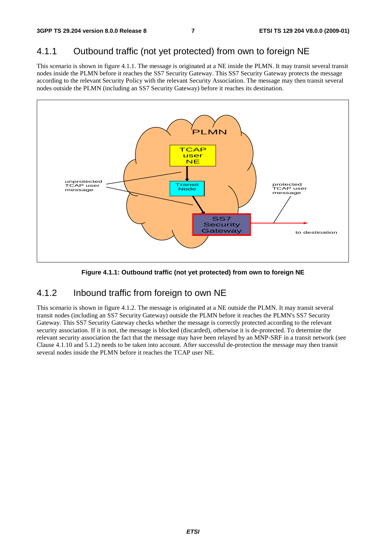### 4.1.1 Outbound traffic (not yet protected) from own to foreign NE

This scenario is shown in figure 4.1.1. The message is originated at a NE inside the PLMN. It may transit several transit nodes inside the PLMN before it reaches the SS7 Security Gateway. This SS7 Security Gateway protects the message according to the relevant Security Policy with the relevant Security Association. The message may then transit several nodes outside the PLMN (including an SS7 Security Gateway) before it reaches its destination.



**Figure 4.1.1: Outbound traffic (not yet protected) from own to foreign NE** 

### 4.1.2 Inbound traffic from foreign to own NE

This scenario is shown in figure 4.1.2. The message is originated at a NE outside the PLMN. It may transit several transit nodes (including an SS7 Security Gateway) outside the PLMN before it reaches the PLMN's SS7 Security Gateway. This SS7 Security Gateway checks whether the message is correctly protected according to the relevant security association. If it is not, the message is blocked (discarded), otherwise it is de-protected. To determine the relevant security association the fact that the message may have been relayed by an MNP-SRF in a transit network (see Clause 4.1.10 and 5.1.2) needs to be taken into account. After successful de-protection the message may then transit several nodes inside the PLMN before it reaches the TCAP user NE.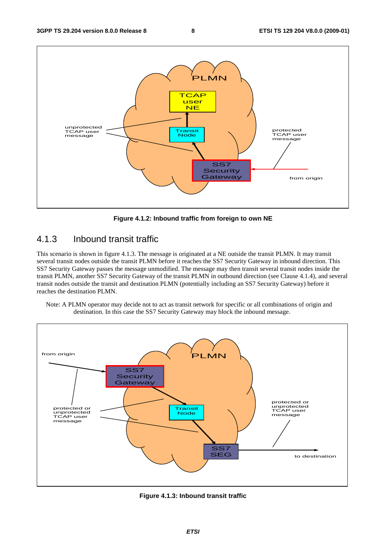

**Figure 4.1.2: Inbound traffic from foreign to own NE** 

### 4.1.3 Inbound transit traffic

This scenario is shown in figure 4.1.3. The message is originated at a NE outside the transit PLMN. It may transit several transit nodes outside the transit PLMN before it reaches the SS7 Security Gateway in inbound direction. This SS7 Security Gateway passes the message unmodified. The message may then transit several transit nodes inside the transit PLMN, another SS7 Security Gateway of the transit PLMN in outbound direction (see Clause 4.1.4), and several transit nodes outside the transit and destination PLMN (potentially including an SS7 Security Gateway) before it reaches the destination PLMN.

Note: A PLMN operator may decide not to act as transit network for specific or all combinations of origin and destination. In this case the SS7 Security Gateway may block the inbound message.



**Figure 4.1.3: Inbound transit traffic**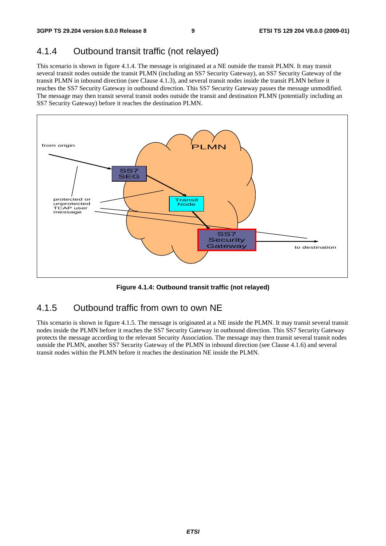### 4.1.4 Outbound transit traffic (not relayed)

This scenario is shown in figure 4.1.4. The message is originated at a NE outside the transit PLMN. It may transit several transit nodes outside the transit PLMN (including an SS7 Security Gateway), an SS7 Security Gateway of the transit PLMN in inbound direction (see Clause 4.1.3), and several transit nodes inside the transit PLMN before it reaches the SS7 Security Gateway in outbound direction. This SS7 Security Gateway passes the message unmodified. The message may then transit several transit nodes outside the transit and destination PLMN (potentially including an SS7 Security Gateway) before it reaches the destination PLMN.



**Figure 4.1.4: Outbound transit traffic (not relayed)** 

### 4.1.5 Outbound traffic from own to own NE

This scenario is shown in figure 4.1.5. The message is originated at a NE inside the PLMN. It may transit several transit nodes inside the PLMN before it reaches the SS7 Security Gateway in outbound direction. This SS7 Security Gateway protects the message according to the relevant Security Association. The message may then transit several transit nodes outside the PLMN, another SS7 Security Gateway of the PLMN in inbound direction (see Clause 4.1.6) and several transit nodes within the PLMN before it reaches the destination NE inside the PLMN.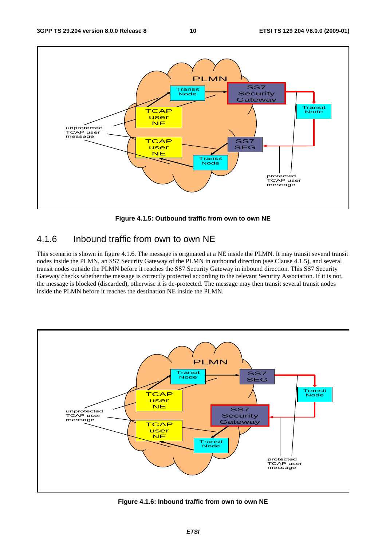

**Figure 4.1.5: Outbound traffic from own to own NE** 

### 4.1.6 Inbound traffic from own to own NE

This scenario is shown in figure 4.1.6. The message is originated at a NE inside the PLMN. It may transit several transit nodes inside the PLMN, an SS7 Security Gateway of the PLMN in outbound direction (see Clause 4.1.5), and several transit nodes outside the PLMN before it reaches the SS7 Security Gateway in inbound direction. This SS7 Security Gateway checks whether the message is correctly protected according to the relevant Security Association. If it is not, the message is blocked (discarded), otherwise it is de-protected. The message may then transit several transit nodes inside the PLMN before it reaches the destination NE inside the PLMN.



**Figure 4.1.6: Inbound traffic from own to own NE**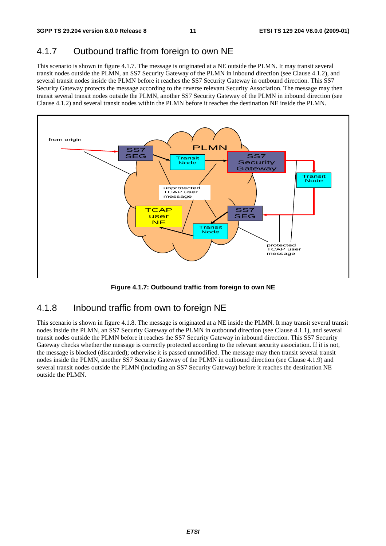### 4.1.7 Outbound traffic from foreign to own NE

This scenario is shown in figure 4.1.7. The message is originated at a NE outside the PLMN. It may transit several transit nodes outside the PLMN, an SS7 Security Gateway of the PLMN in inbound direction (see Clause 4.1.2), and several transit nodes inside the PLMN before it reaches the SS7 Security Gateway in outbound direction. This SS7 Security Gateway protects the message according to the reverse relevant Security Association. The message may then transit several transit nodes outside the PLMN, another SS7 Security Gateway of the PLMN in inbound direction (see Clause 4.1.2) and several transit nodes within the PLMN before it reaches the destination NE inside the PLMN.



**Figure 4.1.7: Outbound traffic from foreign to own NE** 

### 4.1.8 Inbound traffic from own to foreign NE

This scenario is shown in figure 4.1.8. The message is originated at a NE inside the PLMN. It may transit several transit nodes inside the PLMN, an SS7 Security Gateway of the PLMN in outbound direction (see Clause 4.1.1), and several transit nodes outside the PLMN before it reaches the SS7 Security Gateway in inbound direction. This SS7 Security Gateway checks whether the message is correctly protected according to the relevant security association. If it is not, the message is blocked (discarded); otherwise it is passed unmodified. The message may then transit several transit nodes inside the PLMN, another SS7 Security Gateway of the PLMN in outbound direction (see Clause 4.1.9) and several transit nodes outside the PLMN (including an SS7 Security Gateway) before it reaches the destination NE outside the PLMN.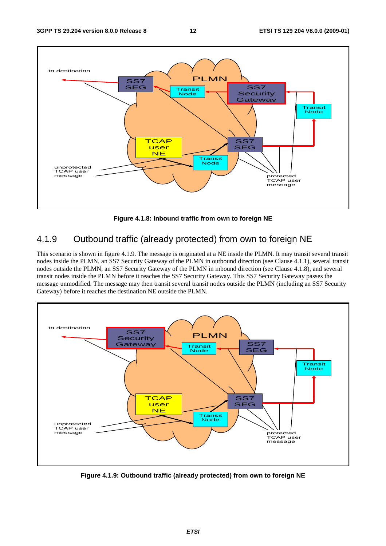

**Figure 4.1.8: Inbound traffic from own to foreign NE** 

### 4.1.9 Outbound traffic (already protected) from own to foreign NE

This scenario is shown in figure 4.1.9. The message is originated at a NE inside the PLMN. It may transit several transit nodes inside the PLMN, an SS7 Security Gateway of the PLMN in outbound direction (see Clause 4.1.1), several transit nodes outside the PLMN, an SS7 Security Gateway of the PLMN in inbound direction (see Clause 4.1.8), and several transit nodes inside the PLMN before it reaches the SS7 Security Gateway. This SS7 Security Gateway passes the message unmodified. The message may then transit several transit nodes outside the PLMN (including an SS7 Security Gateway) before it reaches the destination NE outside the PLMN.



**Figure 4.1.9: Outbound traffic (already protected) from own to foreign NE**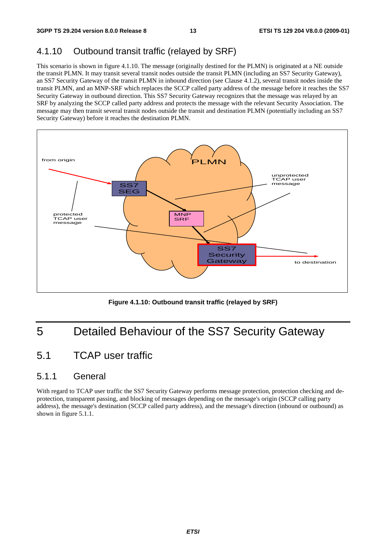### 4.1.10 Outbound transit traffic (relayed by SRF)

This scenario is shown in figure 4.1.10. The message (originally destined for the PLMN) is originated at a NE outside the transit PLMN. It may transit several transit nodes outside the transit PLMN (including an SS7 Security Gateway), an SS7 Security Gateway of the transit PLMN in inbound direction (see Clause 4.1.2), several transit nodes inside the transit PLMN, and an MNP-SRF which replaces the SCCP called party address of the message before it reaches the SS7 Security Gateway in outbound direction. This SS7 Security Gateway recognizes that the message was relayed by an SRF by analyzing the SCCP called party address and protects the message with the relevant Security Association. The message may then transit several transit nodes outside the transit and destination PLMN (potentially including an SS7 Security Gateway) before it reaches the destination PLMN.



**Figure 4.1.10: Outbound transit traffic (relayed by SRF)** 

### 5 Detailed Behaviour of the SS7 Security Gateway

### 5.1 TCAP user traffic

### 5.1.1 General

With regard to TCAP user traffic the SS7 Security Gateway performs message protection, protection checking and deprotection, transparent passing, and blocking of messages depending on the message's origin (SCCP calling party address), the message's destination (SCCP called party address), and the message's direction (inbound or outbound) as shown in figure 5.1.1.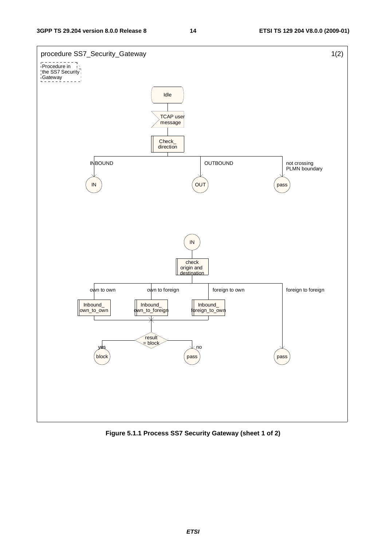

**Figure 5.1.1 Process SS7 Security Gateway (sheet 1 of 2)**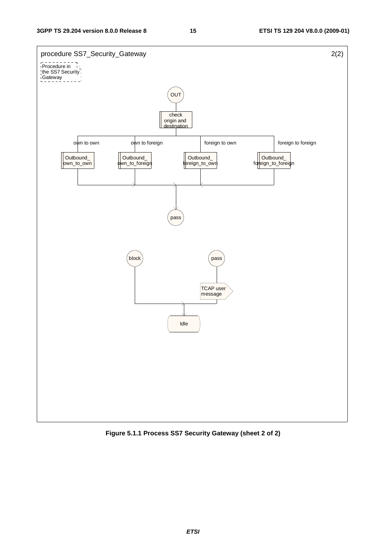

**Figure 5.1.1 Process SS7 Security Gateway (sheet 2 of 2)**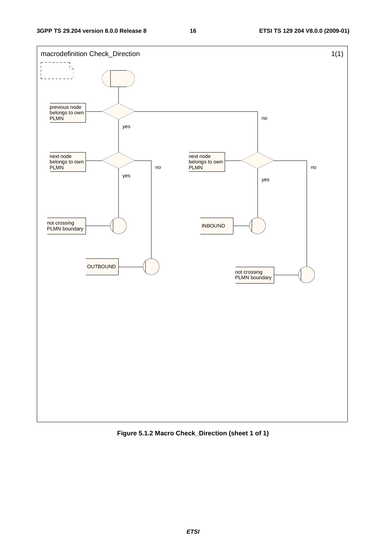

**Figure 5.1.2 Macro Check\_Direction (sheet 1 of 1)**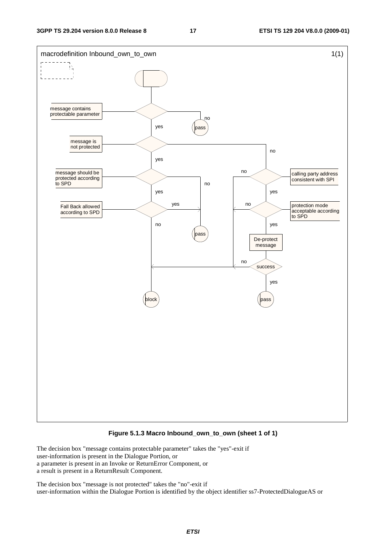

#### **Figure 5.1.3 Macro Inbound\_own\_to\_own (sheet 1 of 1)**

The decision box "message contains protectable parameter" takes the "yes"-exit if user-information is present in the Dialogue Portion, or a parameter is present in an Invoke or ReturnError Component, or a result is present in a ReturnResult Component.

The decision box "message is not protected" takes the "no"-exit if user-information within the Dialogue Portion is identified by the object identifier ss7-ProtectedDialogueAS or

*ETSI*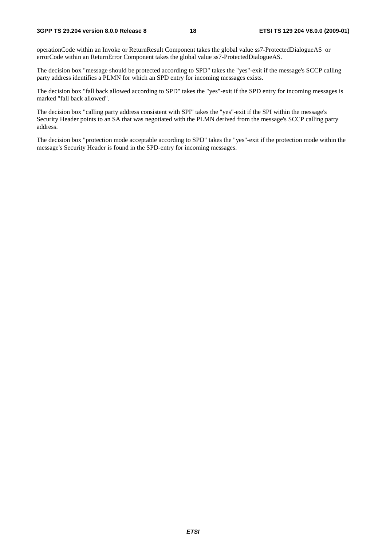#### **3GPP TS 29.204 version 8.0.0 Release 8 18 ETSI TS 129 204 V8.0.0 (2009-01)**

operationCode within an Invoke or ReturnResult Component takes the global value ss7-ProtectedDialogueAS or errorCode within an ReturnError Component takes the global value ss7-ProtectedDialogueAS.

The decision box "message should be protected according to SPD" takes the "yes"-exit if the message's SCCP calling party address identifies a PLMN for which an SPD entry for incoming messages exists.

The decision box "fall back allowed according to SPD" takes the "yes"-exit if the SPD entry for incoming messages is marked "fall back allowed".

The decision box "calling party address consistent with SPI" takes the "yes"-exit if the SPI within the message's Security Header points to an SA that was negotiated with the PLMN derived from the message's SCCP calling party address.

The decision box "protection mode acceptable according to SPD" takes the "yes"-exit if the protection mode within the message's Security Header is found in the SPD-entry for incoming messages.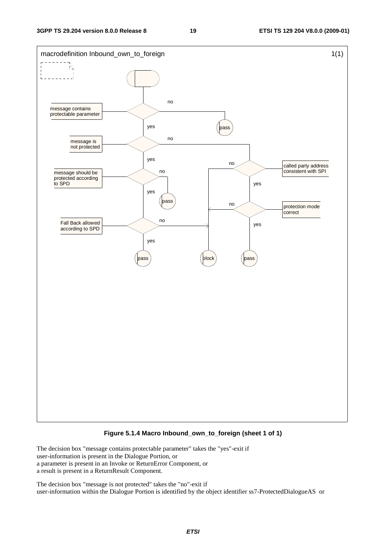

#### **Figure 5.1.4 Macro Inbound\_own\_to\_foreign (sheet 1 of 1)**

The decision box "message contains protectable parameter" takes the "yes"-exit if user-information is present in the Dialogue Portion, or a parameter is present in an Invoke or ReturnError Component, or a result is present in a ReturnResult Component.

The decision box "message is not protected" takes the "no"-exit if user-information within the Dialogue Portion is identified by the object identifier ss7-ProtectedDialogueAS or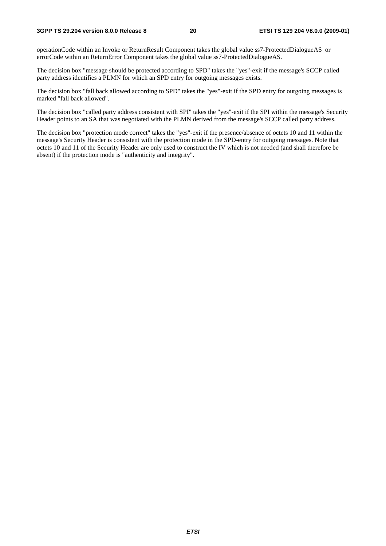#### **3GPP TS 29.204 version 8.0.0 Release 8 20 ETSI TS 129 204 V8.0.0 (2009-01)**

operationCode within an Invoke or ReturnResult Component takes the global value ss7-ProtectedDialogueAS or errorCode within an ReturnError Component takes the global value ss7-ProtectedDialogueAS.

The decision box "message should be protected according to SPD" takes the "yes"-exit if the message's SCCP called party address identifies a PLMN for which an SPD entry for outgoing messages exists.

The decision box "fall back allowed according to SPD" takes the "yes"-exit if the SPD entry for outgoing messages is marked "fall back allowed".

The decision box "called party address consistent with SPI" takes the "yes"-exit if the SPI within the message's Security Header points to an SA that was negotiated with the PLMN derived from the message's SCCP called party address.

The decision box "protection mode correct" takes the "yes"-exit if the presence/absence of octets 10 and 11 within the message's Security Header is consistent with the protection mode in the SPD-entry for outgoing messages. Note that octets 10 and 11 of the Security Header are only used to construct the IV which is not needed (and shall therefore be absent) if the protection mode is "authenticity and integrity".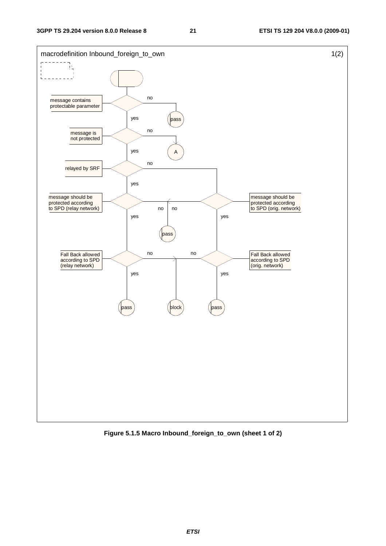

**Figure 5.1.5 Macro Inbound\_foreign\_to\_own (sheet 1 of 2)** 

*ETSI*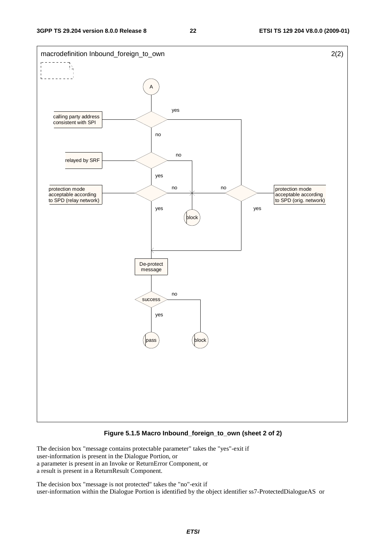

#### **Figure 5.1.5 Macro Inbound\_foreign\_to\_own (sheet 2 of 2)**

The decision box "message contains protectable parameter" takes the "yes"-exit if user-information is present in the Dialogue Portion, or a parameter is present in an Invoke or ReturnError Component, or a result is present in a ReturnResult Component.

The decision box "message is not protected" takes the "no"-exit if user-information within the Dialogue Portion is identified by the object identifier ss7-ProtectedDialogueAS or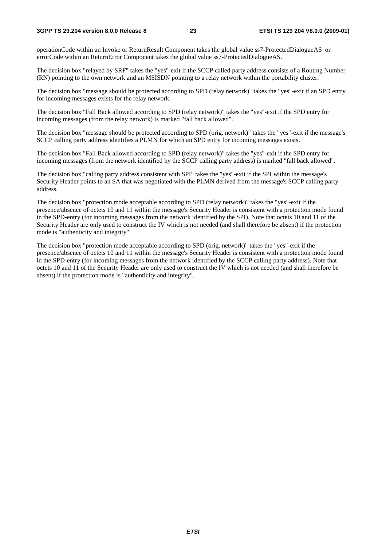#### **3GPP TS 29.204 version 8.0.0 Release 8 23 ETSI TS 129 204 V8.0.0 (2009-01)**

operationCode within an Invoke or ReturnResult Component takes the global value ss7-ProtectedDialogueAS or errorCode within an ReturnError Component takes the global value ss7-ProtectedDialogueAS.

The decision box "relayed by SRF" takes the "yes"-exit if the SCCP called party address consists of a Routing Number (RN) pointing to the own network and an MSISDN pointing to a relay network within the portability cluster.

The decision box "message should be protected according to SPD (relay network)" takes the "yes"-exit if an SPD entry for incoming messages exists for the relay network.

The decision box "Fall Back allowed according to SPD (relay network)" takes the "yes"-exit if the SPD entry for incoming messages (from the relay network) is marked "fall back allowed".

The decision box "message should be protected according to SPD (orig. network)" takes the "yes"-exit if the message's SCCP calling party address identifies a PLMN for which an SPD entry for incoming messages exists.

The decision box "Fall Back allowed according to SPD (relay network)" takes the "yes"-exit if the SPD entry for incoming messages (from the network identified by the SCCP calling party address) is marked "fall back allowed".

The decision box "calling party address consistent with SPI" takes the "yes"-exit if the SPI within the message's Security Header points to an SA that was negotiated with the PLMN derived from the message's SCCP calling party address.

The decision box "protection mode acceptable according to SPD (relay network)" takes the "yes"-exit if the presence/absence of octets 10 and 11 within the message's Security Header is consistent with a protection mode found in the SPD-entry (for incoming messages from the network identified by the SPI). Note that octets 10 and 11 of the Security Header are only used to construct the IV which is not needed (and shall therefore be absent) if the protection mode is "authenticity and integrity".

The decision box "protection mode acceptable according to SPD (orig. network)" takes the "yes"-exit if the presence/absence of octets 10 and 11 within the message's Security Header is consistent with a protection mode found in the SPD-entry (for incoming messages from the network identified by the SCCP calling party address). Note that octets 10 and 11 of the Security Header are only used to construct the IV which is not needed (and shall therefore be absent) if the protection mode is "authenticity and integrity".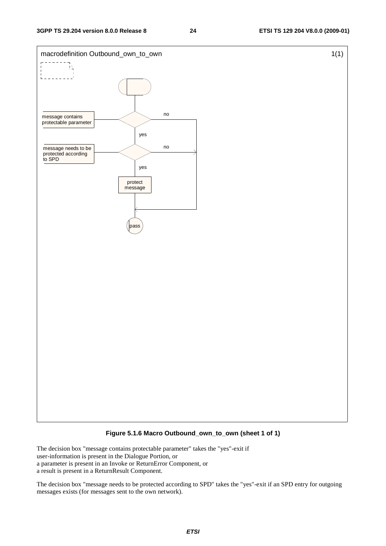

#### **Figure 5.1.6 Macro Outbound\_own\_to\_own (sheet 1 of 1)**

The decision box "message contains protectable parameter" takes the "yes"-exit if user-information is present in the Dialogue Portion, or a parameter is present in an Invoke or ReturnError Component, or a result is present in a ReturnResult Component.

The decision box "message needs to be protected according to SPD" takes the "yes"-exit if an SPD entry for outgoing messages exists (for messages sent to the own network).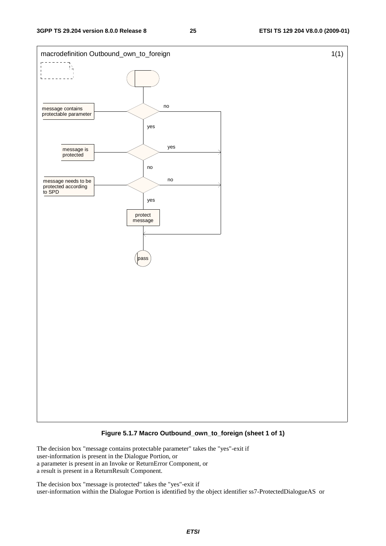

#### **Figure 5.1.7 Macro Outbound\_own\_to\_foreign (sheet 1 of 1)**

The decision box "message contains protectable parameter" takes the "yes"-exit if user-information is present in the Dialogue Portion, or a parameter is present in an Invoke or ReturnError Component, or a result is present in a ReturnResult Component.

The decision box "message is protected" takes the "yes"-exit if user-information within the Dialogue Portion is identified by the object identifier ss7-ProtectedDialogueAS or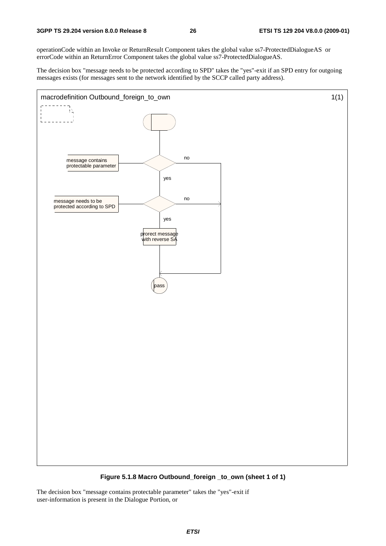operationCode within an Invoke or ReturnResult Component takes the global value ss7-ProtectedDialogueAS or errorCode within an ReturnError Component takes the global value ss7-ProtectedDialogueAS.

The decision box "message needs to be protected according to SPD" takes the "yes"-exit if an SPD entry for outgoing messages exists (for messages sent to the network identified by the SCCP called party address).



**Figure 5.1.8 Macro Outbound\_foreign \_to\_own (sheet 1 of 1)** 

The decision box "message contains protectable parameter" takes the "yes"-exit if user-information is present in the Dialogue Portion, or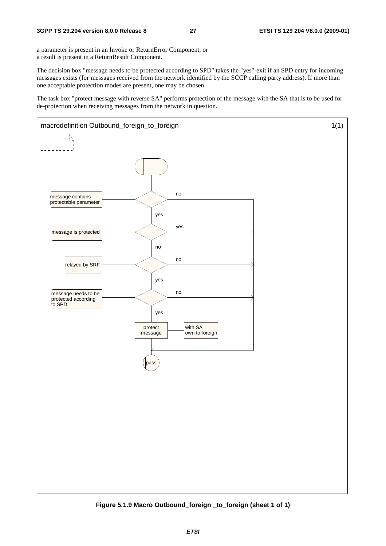a parameter is present in an Invoke or ReturnError Component, or a result is present in a ReturnResult Component.

The decision box "message needs to be protected according to SPD" takes the "yes"-exit if an SPD entry for incoming messages exists (for messages received from the network identified by the SCCP calling party address). If more than one acceptable protection modes are present, one may be chosen.

The task box "protect message with reverse SA" performs protection of the message with the SA that is to be used for de-protection when receiving messages from the network in question.



**Figure 5.1.9 Macro Outbound\_foreign \_to\_foreign (sheet 1 of 1)**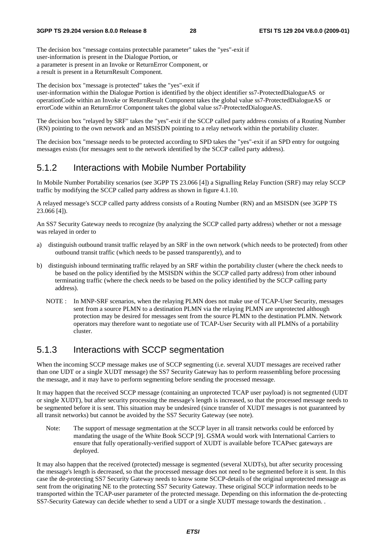The decision box "message contains protectable parameter" takes the "yes"-exit if user-information is present in the Dialogue Portion, or a parameter is present in an Invoke or ReturnError Component, or a result is present in a ReturnResult Component.

The decision box "message is protected" takes the "yes"-exit if user-information within the Dialogue Portion is identified by the object identifier ss7-ProtectedDialogueAS or operationCode within an Invoke or ReturnResult Component takes the global value ss7-ProtectedDialogueAS or errorCode within an ReturnError Component takes the global value ss7-ProtectedDialogueAS.

The decision box "relayed by SRF" takes the "yes"-exit if the SCCP called party address consists of a Routing Number (RN) pointing to the own network and an MSISDN pointing to a relay network within the portability cluster.

The decision box "message needs to be protected according to SPD takes the "yes"-exit if an SPD entry for outgoing messages exists (for messages sent to the network identified by the SCCP called party address).

### 5.1.2 Interactions with Mobile Number Portability

In Mobile Number Portability scenarios (see 3GPP TS 23.066 [4]) a Signalling Relay Function (SRF) may relay SCCP traffic by modifying the SCCP called party address as shown in figure 4.1.10.

A relayed message's SCCP called party address consists of a Routing Number (RN) and an MSISDN (see 3GPP TS 23.066 [4]).

An SS7 Security Gateway needs to recognize (by analyzing the SCCP called party address) whether or not a message was relayed in order to

- a) distinguish outbound transit traffic relayed by an SRF in the own network (which needs to be protected) from other outbound transit traffic (which needs to be passed transparently), and to
- b) distinguish inbound terminating traffic relayed by an SRF within the portability cluster (where the check needs to be based on the policy identified by the MSISDN within the SCCP called party address) from other inbound terminating traffic (where the check needs to be based on the policy identified by the SCCP calling party address).
	- NOTE : In MNP-SRF scenarios, when the relaying PLMN does not make use of TCAP-User Security, messages sent from a source PLMN to a destination PLMN via the relaying PLMN are unprotected although protection may be desired for messages sent from the source PLMN to the destination PLMN. Network operators may therefore want to negotiate use of TCAP-User Security with all PLMNs of a portability cluster.

### 5.1.3 Interactions with SCCP segmentation

When the incoming SCCP message makes use of SCCP segmenting (i.e. several XUDT messages are received rather than one UDT or a single XUDT message) the SS7 Security Gateway has to perform reassembling before processing the message, and it may have to perform segmenting before sending the processed message.

It may happen that the received SCCP message (containing an unprotected TCAP user payload) is not segmented (UDT or single XUDT), but after security processing the message's length is increased, so that the processed message needs to be segmented before it is sent. This situation may be undesired (since transfer of XUDT messages is not guaranteed by all transit networks) but cannot be avoided by the SS7 Security Gateway (see note).

Note: The support of message segmentation at the SCCP layer in all transit networks could be enforced by mandating the usage of the White Book SCCP [9]. GSMA would work with International Carriers to ensure that fully operationally-verified support of XUDT is available before TCAPsec gateways are deployed.

It may also happen that the received (protected) message is segmented (several XUDTs), but after security processing the message's length is decreased, so that the processed message does not need to be segmented before it is sent. In this case the de-protecting SS7 Security Gateway needs to know some SCCP-details of the original unprotected message as sent from the originating NE to the protecting SS7 Security Gateway. These original SCCP information needs to be transported within the TCAP-user parameter of the protected message. Depending on this information the de-protecting SS7-Security Gateway can decide whether to send a UDT or a single XUDT message towards the destination. .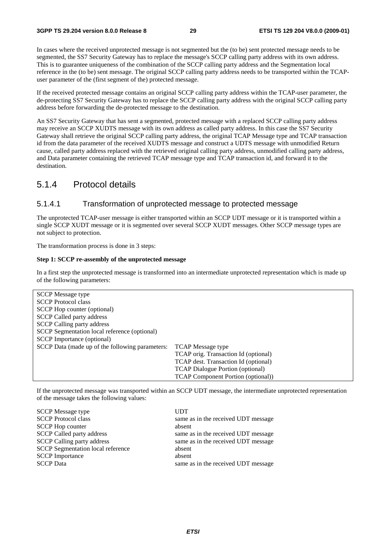In cases where the received unprotected message is not segmented but the (to be) sent protected message needs to be segmented, the SS7 Security Gateway has to replace the message's SCCP calling party address with its own address. This is to guarantee uniqueness of the combination of the SCCP calling party address and the Segmentation local reference in the (to be) sent message. The original SCCP calling party address needs to be transported within the TCAPuser parameter of the (first segment of the) protected message.

If the received protected message contains an original SCCP calling party address within the TCAP-user parameter, the de-protecting SS7 Security Gateway has to replace the SCCP calling party address with the original SCCP calling party address before forwarding the de-protected message to the destination.

An SS7 Security Gateway that has sent a segmented, protected message with a replaced SCCP calling party address may receive an SCCP XUDTS message with its own address as called party address. In this case the SS7 Security Gateway shall retrieve the original SCCP calling party address, the original TCAP Message type and TCAP transaction id from the data parameter of the received XUDTS message and construct a UDTS message with unmodified Return cause, called party address replaced with the retrieved original calling party address, unmodified calling party address, and Data parameter containing the retrieved TCAP message type and TCAP transaction id, and forward it to the destination.

### 5.1.4 Protocol details

#### 5.1.4.1 Transformation of unprotected message to protected message

The unprotected TCAP-user message is either transported within an SCCP UDT message or it is transported within a single SCCP XUDT message or it is segmented over several SCCP XUDT messages. Other SCCP message types are not subject to protection.

The transformation process is done in 3 steps:

#### **Step 1: SCCP re-assembly of the unprotected message**

In a first step the unprotected message is transformed into an intermediate unprotected representation which is made up of the following parameters:

| <b>SCCP</b> Message type                        |                                           |
|-------------------------------------------------|-------------------------------------------|
| <b>SCCP</b> Protocol class                      |                                           |
| SCCP Hop counter (optional)                     |                                           |
| <b>SCCP Called party address</b>                |                                           |
| <b>SCCP</b> Calling party address               |                                           |
| SCCP Segmentation local reference (optional)    |                                           |
| <b>SCCP</b> Importance (optional)               |                                           |
| SCCP Data (made up of the following parameters: | <b>TCAP</b> Message type                  |
|                                                 | TCAP orig. Transaction Id (optional)      |
|                                                 | TCAP dest. Transaction Id (optional)      |
|                                                 | <b>TCAP Dialogue Portion (optional)</b>   |
|                                                 | <b>TCAP Component Portion (optional))</b> |

If the unprotected message was transported within an SCCP UDT message, the intermediate unprotected representation of the message takes the following values:

| <b>UDT</b>                          |
|-------------------------------------|
| same as in the received UDT message |
| absent                              |
| same as in the received UDT message |
| same as in the received UDT message |
| absent                              |
| absent                              |
| same as in the received UDT message |
|                                     |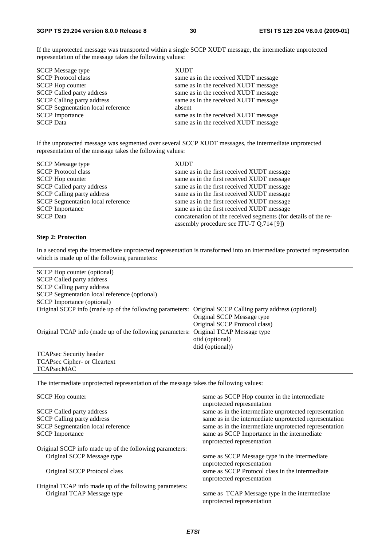If the unprotected message was transported within a single SCCP XUDT message, the intermediate unprotected representation of the message takes the following values:

| <b>SCCP</b> Message type                 | <b>XUDT</b>                          |
|------------------------------------------|--------------------------------------|
| <b>SCCP Protocol class</b>               | same as in the received XUDT message |
| <b>SCCP</b> Hop counter                  | same as in the received XUDT message |
| <b>SCCP Called party address</b>         | same as in the received XUDT message |
| <b>SCCP Calling party address</b>        | same as in the received XUDT message |
| <b>SCCP</b> Segmentation local reference | absent                               |
| <b>SCCP</b> Importance                   | same as in the received XUDT message |
| <b>SCCP</b> Data                         | same as in the received XUDT message |

If the unprotected message was segmented over several SCCP XUDT messages, the intermediate unprotected representation of the message takes the following values:

| <b>SCCP</b> Message type                 | <b>XUDT</b>                                                    |
|------------------------------------------|----------------------------------------------------------------|
| <b>SCCP</b> Protocol class               | same as in the first received XUDT message                     |
| <b>SCCP</b> Hop counter                  | same as in the first received XUDT message                     |
| <b>SCCP Called party address</b>         | same as in the first received XUDT message                     |
| <b>SCCP Calling party address</b>        | same as in the first received XUDT message                     |
| <b>SCCP</b> Segmentation local reference | same as in the first received XUDT message                     |
| <b>SCCP</b> Importance                   | same as in the first received XUDT message                     |
| <b>SCCP</b> Data                         | concatenation of the received segments (for details of the re- |
|                                          | assembly procedure see ITU-T Q.714 [9])                        |

#### **Step 2: Protection**

In a second step the intermediate unprotected representation is transformed into an intermediate protected representation which is made up of the following parameters:

| SCCP Hop counter (optional)                              |                                                |
|----------------------------------------------------------|------------------------------------------------|
| <b>SCCP Called party address</b>                         |                                                |
| <b>SCCP</b> Calling party address                        |                                                |
| SCCP Segmentation local reference (optional)             |                                                |
| <b>SCCP</b> Importance (optional)                        |                                                |
| Original SCCP info (made up of the following parameters: | Original SCCP Calling party address (optional) |
|                                                          | Original SCCP Message type                     |
|                                                          | Original SCCP Protocol class)                  |
| Original TCAP info (made up of the following parameters: | Original TCAP Message type                     |
|                                                          | otid (optional)                                |
|                                                          | dtid (optional))                               |
| <b>TCAPsec Security header</b>                           |                                                |
| TCAPsec Cipher- or Cleartext                             |                                                |
| <b>TCAPsecMAC</b>                                        |                                                |

The intermediate unprotected representation of the message takes the following values:

| <b>SCCP</b> Hop counter                                 | same as SCCP Hop counter in the intermediate<br>unprotected representation    |
|---------------------------------------------------------|-------------------------------------------------------------------------------|
| <b>SCCP</b> Called party address                        | same as in the intermediate unprotected representation                        |
| <b>SCCP Calling party address</b>                       | same as in the intermediate unprotected representation                        |
| <b>SCCP</b> Segmentation local reference                | same as in the intermediate unprotected representation                        |
| <b>SCCP</b> Importance                                  | same as SCCP Importance in the intermediate<br>unprotected representation     |
| Original SCCP info made up of the following parameters: |                                                                               |
| Original SCCP Message type                              | same as SCCP Message type in the intermediate<br>unprotected representation   |
| Original SCCP Protocol class                            | same as SCCP Protocol class in the intermediate<br>unprotected representation |
| Original TCAP info made up of the following parameters: |                                                                               |
| Original TCAP Message type                              | same as TCAP Message type in the intermediate<br>unprotected representation   |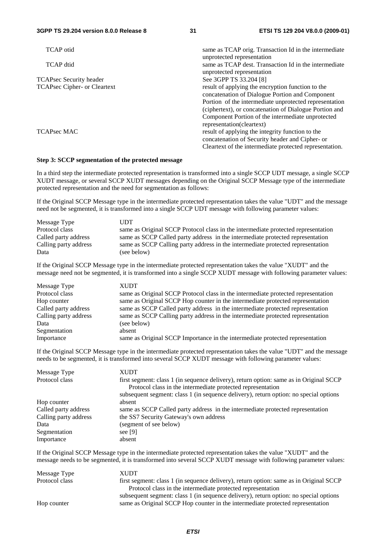| <b>TCAP</b> otid                    | same as TCAP orig. Transaction Id in the intermediate   |
|-------------------------------------|---------------------------------------------------------|
|                                     | unprotected representation                              |
| <b>TCAP</b> dtid                    | same as TCAP dest. Transaction Id in the intermediate   |
|                                     | unprotected representation                              |
| <b>TCAPsec Security header</b>      | See 3GPP TS 33.204 [8]                                  |
| <b>TCAPsec Cipher- or Cleartext</b> | result of applying the encryption function to the       |
|                                     | concatenation of Dialogue Portion and Component         |
|                                     | Portion of the intermediate unprotected representation  |
|                                     | (ciphertext), or concatenation of Dialogue Portion and  |
|                                     | Component Portion of the intermediate unprotected       |
|                                     | representation(cleartext)                               |
| <b>TCAPsec MAC</b>                  | result of applying the integrity function to the        |
|                                     | concatenation of Security header and Cipher- or         |
|                                     | Cleartext of the intermediate protected representation. |
|                                     |                                                         |

#### **Step 3: SCCP segmentation of the protected message**

In a third step the intermediate protected representation is transformed into a single SCCP UDT message, a single SCCP XUDT message, or several SCCP XUDT messages depending on the Original SCCP Message type of the intermediate protected representation and the need for segmentation as follows:

If the Original SCCP Message type in the intermediate protected representation takes the value "UDT" and the message need not be segmented, it is transformed into a single SCCP UDT message with following parameter values:

| Message Type          | UDT                                                                               |
|-----------------------|-----------------------------------------------------------------------------------|
| Protocol class        | same as Original SCCP Protocol class in the intermediate protected representation |
| Called party address  | same as SCCP Called party address in the intermediate protected representation    |
| Calling party address | same as SCCP Calling party address in the intermediate protected representation   |
| Data                  | (see below)                                                                       |

If the Original SCCP Message type in the intermediate protected representation takes the value "XUDT" and the message need not be segmented, it is transformed into a single SCCP XUDT message with following parameter values:

| Message Type          | <b>XUDT</b>                                                                       |
|-----------------------|-----------------------------------------------------------------------------------|
| Protocol class        | same as Original SCCP Protocol class in the intermediate protected representation |
| Hop counter           | same as Original SCCP Hop counter in the intermediate protected representation    |
| Called party address  | same as SCCP Called party address in the intermediate protected representation    |
| Calling party address | same as SCCP Calling party address in the intermediate protected representation   |
| Data                  | (see below)                                                                       |
| Segmentation          | absent                                                                            |
| Importance            | same as Original SCCP Importance in the intermediate protected representation     |

If the Original SCCP Message type in the intermediate protected representation takes the value "UDT" and the message needs to be segmented, it is transformed into several SCCP XUDT message with following parameter values:

| Message Type          | XUDT                                                                                                                                                                                                                                           |
|-----------------------|------------------------------------------------------------------------------------------------------------------------------------------------------------------------------------------------------------------------------------------------|
| Protocol class        | first segment: class 1 (in sequence delivery), return option: same as in Original SCCP<br>Protocol class in the intermediate protected representation<br>subsequent segment: class 1 (in sequence delivery), return option: no special options |
| Hop counter           | absent                                                                                                                                                                                                                                         |
| Called party address  | same as SCCP Called party address in the intermediate protected representation                                                                                                                                                                 |
| Calling party address | the SS7 Security Gateway's own address                                                                                                                                                                                                         |
| Data                  | (segment of see below)                                                                                                                                                                                                                         |
| Segmentation          | see [9]                                                                                                                                                                                                                                        |
| Importance            | absent                                                                                                                                                                                                                                         |

If the Original SCCP Message type in the intermediate protected representation takes the value "XUDT" and the message needs to be segmented, it is transformed into several SCCP XUDT message with following parameter values:

| XUDT                                                                                   |
|----------------------------------------------------------------------------------------|
| first segment: class 1 (in sequence delivery), return option: same as in Original SCCP |
| Protocol class in the intermediate protected representation                            |
| subsequent segment: class 1 (in sequence delivery), return option: no special options  |
| same as Original SCCP Hop counter in the intermediate protected representation         |
|                                                                                        |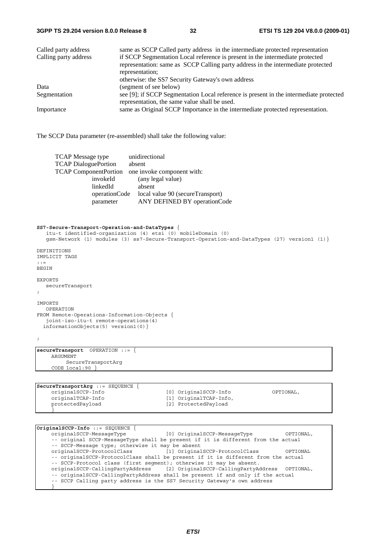| Called party address  | same as SCCP Called party address in the intermediate protected representation                                                                                    |
|-----------------------|-------------------------------------------------------------------------------------------------------------------------------------------------------------------|
| Calling party address | if SCCP Segmentation Local reference is present in the intermediate protected<br>representation: same as SCCP Calling party address in the intermediate protected |
|                       | representation;                                                                                                                                                   |
|                       | otherwise: the SS7 Security Gateway's own address                                                                                                                 |
| Data                  | (segment of see below)                                                                                                                                            |
| Segmentation          | see [9]; if SCCP Segmentation Local reference is present in the intermediate protected<br>representation, the same value shall be used.                           |
| Importance            | same as Original SCCP Importance in the intermediate protected representation.                                                                                    |

The SCCP Data parameter (re-assembled) shall take the following value:

| <b>TCAP</b> Message type     | unidirectional                   |
|------------------------------|----------------------------------|
| <b>TCAP DialoguePortion</b>  | absent                           |
| <b>TCAP ComponentPortion</b> | one invoke component with:       |
| invokeId                     | (any legal value)                |
| linkedId                     | absent                           |
| operationCode                | local value 90 (secureTransport) |
| parameter                    | ANY DEFINED BY operationCode     |

#### **SS7-Secure-Transport-Operation-and-DataTypes** {

```
 itu-t identified-organization (4) etsi (0) mobileDomain (0) 
 gsm-Network (1) modules (3) ss7-Secure-Transport-Operation-and-DataTypes (27) version1 (1)} 
DEFINITIONS 
IMPLICIT TAGS 
::= 
BEGIN 
EXPORTS 
   secureTransport 
; 
IMPORTS 
   OPERATION 
FROM Remote-Operations-Information-Objects { 
  joint-iso-itu-t remote-operations(4) 
   informationObjects(5) version1(0)} 
; 
secureTransport OPERATION ::= { 
      ARGUMENT 
           SecureTransportArg
      CODE local:90 } 
SecureTransportArg ::= SEQUENCE { 
                                             [0] OriginalSCCP-Info 		 OPTIONAL,
     originalTCAP-Info [1] OriginalTCAP-Info,<br>protectedPayload [2] ProtectedPayload
                                              protectedPayload [2] ProtectedPayload 
 }
```

| $ OriginalSCCP-Info : := SEOUENCE$                                  |                                                                                   |           |
|---------------------------------------------------------------------|-----------------------------------------------------------------------------------|-----------|
|                                                                     | originalSCCP-MessageType [0] OriginalSCCP-MessageType                             | OPTIONAL, |
|                                                                     | -- original SCCP-MessageType shall be present if it is different from the actual  |           |
| -- SCCP-Message type; otherwise it may be absent                    |                                                                                   |           |
| originalSCCP-ProtocolClass [1] OriginalSCCP-ProtocolClass           |                                                                                   | OPTIONAL  |
|                                                                     | -- originalSCCP-ProtocolClass shall be present if it is different from the actual |           |
| -- SCCP-Protocol class (first seqment); otherwise it may be absent. |                                                                                   |           |
|                                                                     | originalSCCP-CallingPartyAddress [2] OriginalSCCP-CallingPartyAddress OPTIONAL,   |           |
|                                                                     | -- originalSCCP-CallingPartyAddress shall be present if and only if the actual    |           |
|                                                                     | -- SCCP Calling party address is the SS7 Security Gateway's own address           |           |
|                                                                     |                                                                                   |           |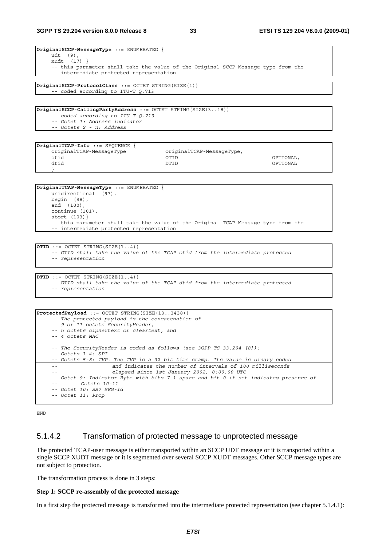| $ O$ riginalSCCP-MessageType ::= ENUMERATED {                                     |
|-----------------------------------------------------------------------------------|
| udt (9),                                                                          |
| xudt $(17)$ }                                                                     |
| -- this parameter shall take the value of the Original SCCP Message type from the |
| -- intermediate protected representation                                          |
|                                                                                   |
| $ OriginalSCCP-ProtocolClass : = OCTET STRING(SIZE(1)) $                          |
| -- coded according to ITU-T 0.713                                                 |

**OriginalSCCP-CallingPartyAddress** ::= OCTET STRING(SIZE(3..18))  *-- coded according to ITU-T Q.713 -- Octet 1: Address indicator -- Octets 2 - n: Address* 

| $ OriginalTCAP-Info :: = SEQUENCE$ |                           |           |
|------------------------------------|---------------------------|-----------|
| originalTCAP-MessageType           | OriginalTCAP-MessageType, |           |
| otid                               | OTID                      | OPTIONAL, |
| dtid                               | DTID                      | OPTIONAL  |
|                                    |                           |           |

**OriginalTCAP-MessageType** ::= ENUMERATED { unidirectional (97), begin (98), end (100), continue (101), abort (103)} -- this parameter shall take the value of the Original TCAP Message type from the -- intermediate protected representation

**OTID** ::= OCTET STRING(SIZE(1..4))  *-- OTID shall take the value of the TCAP otid from the intermediate protected -- representation* 

**DTID** ::= OCTET STRING(SIZE(1..4))  *-- DTID shall take the value of the TCAP dtid from the intermediate protected -- representation* 

```
ProtectedPayload ::= OCTET STRING(SIZE(13..3438)) 
     -- The protected payload is the concatenation of 
      -- 9 or 11 octets SecurityHeader, 
      -- n octets ciphertext or cleartext, and 
      -- 4 octets MAC 
      -- The SecurityHeader is coded as follows (see 3GPP TS 33.204 [8]): 
      -- Octets 1-4: SPI 
      -- Octets 5-8: TVP. The TVP is a 32 bit time stamp. Its value is binary coded 
      -- and indicates the number of intervals of 100 milliseconds 
      -- elapsed since 1st January 2002, 0:00:00 UTC 
      -- Octet 9: Indicator Byte with bits 7-1 spare and bit 0 if set indicates presence of 
              -- Octets 10-11 
      -- Octet 10: SS7 SEG-Id 
      -- Octet 11: Prop
```
END

### 5.1.4.2 Transformation of protected message to unprotected message

The protected TCAP-user message is either transported within an SCCP UDT message or it is transported within a single SCCP XUDT message or it is segmented over several SCCP XUDT messages. Other SCCP message types are not subject to protection.

The transformation process is done in 3 steps:

#### **Step 1: SCCP re-assembly of the protected message**

In a first step the protected message is transformed into the intermediate protected representation (see chapter 5.1.4.1):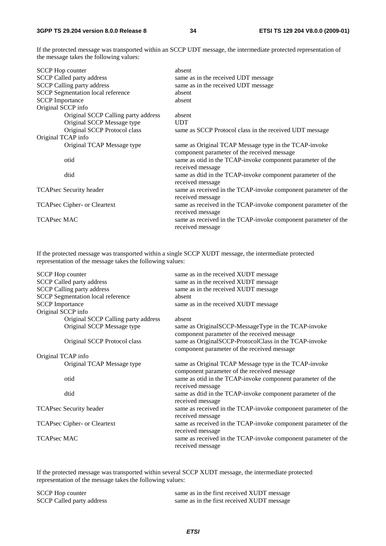If the protected message was transported within an SCCP UDT message, the intermediate protected representation of the message takes the following values:

| <b>SCCP</b> Hop counter |                                          | absent                                                         |
|-------------------------|------------------------------------------|----------------------------------------------------------------|
|                         | <b>SCCP Called party address</b>         | same as in the received UDT message                            |
|                         | <b>SCCP Calling party address</b>        | same as in the received UDT message                            |
|                         | <b>SCCP</b> Segmentation local reference | absent                                                         |
| <b>SCCP</b> Importance  |                                          | absent                                                         |
| Original SCCP info      |                                          |                                                                |
|                         | Original SCCP Calling party address      | absent                                                         |
|                         | Original SCCP Message type               | <b>UDT</b>                                                     |
|                         | Original SCCP Protocol class             | same as SCCP Protocol class in the received UDT message        |
| Original TCAP info      |                                          |                                                                |
|                         | Original TCAP Message type               | same as Original TCAP Message type in the TCAP-invoke          |
|                         |                                          | component parameter of the received message                    |
|                         | otid                                     | same as otid in the TCAP-invoke component parameter of the     |
|                         |                                          | received message                                               |
|                         | dtid                                     | same as dtid in the TCAP-invoke component parameter of the     |
|                         |                                          | received message                                               |
|                         | TCAPsec Security header                  | same as received in the TCAP-invoke component parameter of the |
|                         |                                          | received message                                               |
|                         | TCAPsec Cipher- or Cleartext             | same as received in the TCAP-invoke component parameter of the |
|                         |                                          | received message                                               |
| <b>TCAPsec MAC</b>      |                                          | same as received in the TCAP-invoke component parameter of the |
|                         |                                          | received message                                               |

If the protected message was transported within a single SCCP XUDT message, the intermediate protected representation of the message takes the following values:

| <b>SCCP</b> Hop counter                  | same as in the received XUDT message                           |
|------------------------------------------|----------------------------------------------------------------|
| <b>SCCP Called party address</b>         | same as in the received XUDT message                           |
| <b>SCCP Calling party address</b>        | same as in the received XUDT message                           |
| <b>SCCP</b> Segmentation local reference | absent                                                         |
| <b>SCCP</b> Importance                   | same as in the received XUDT message                           |
| Original SCCP info                       |                                                                |
| Original SCCP Calling party address      | absent                                                         |
| Original SCCP Message type               | same as OriginalSCCP-MessageType in the TCAP-invoke            |
|                                          | component parameter of the received message                    |
| Original SCCP Protocol class             | same as OriginalSCCP-ProtocolClass in the TCAP-invoke          |
|                                          | component parameter of the received message                    |
| Original TCAP info                       |                                                                |
| Original TCAP Message type               | same as Original TCAP Message type in the TCAP-invoke          |
|                                          | component parameter of the received message                    |
| otid                                     | same as otid in the TCAP-invoke component parameter of the     |
|                                          | received message                                               |
| dtid                                     | same as dtid in the TCAP-invoke component parameter of the     |
|                                          | received message                                               |
| TCAPsec Security header                  | same as received in the TCAP-invoke component parameter of the |
|                                          | received message                                               |
| TCAPsec Cipher- or Cleartext             | same as received in the TCAP-invoke component parameter of the |
|                                          | received message                                               |
| <b>TCAPsec MAC</b>                       | same as received in the TCAP-invoke component parameter of the |
|                                          | received message                                               |

If the protected message was transported within several SCCP XUDT message, the intermediate protected representation of the message takes the following values:

| <b>SCCP Hop counter</b>          | same as in the first received XUDT message |
|----------------------------------|--------------------------------------------|
| <b>SCCP Called party address</b> | same as in the first received XUDT message |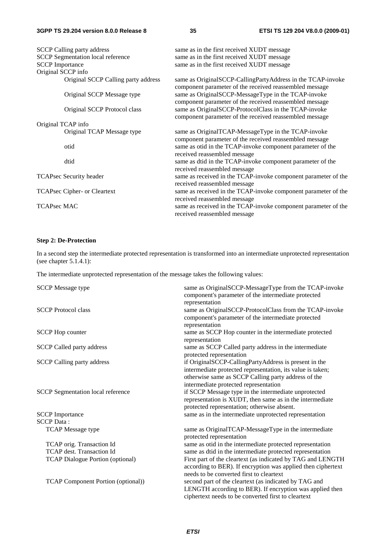#### **3GPP TS 29.204 version 8.0.0 Release 8 35 ETSI TS 129 204 V8.0.0 (2009-01)**

|                        | <b>SCCP Calling party address</b>        | same as in the first received XUDT message                     |
|------------------------|------------------------------------------|----------------------------------------------------------------|
|                        | <b>SCCP</b> Segmentation local reference | same as in the first received XUDT message                     |
| <b>SCCP</b> Importance |                                          | same as in the first received XUDT message                     |
| Original SCCP info     |                                          |                                                                |
|                        | Original SCCP Calling party address      | same as OriginalSCCP-CallingPartyAddress in the TCAP-invoke    |
|                        |                                          | component parameter of the received reassembled message        |
|                        | Original SCCP Message type               | same as OriginalSCCP-MessageType in the TCAP-invoke            |
|                        |                                          | component parameter of the received reassembled message        |
|                        | Original SCCP Protocol class             | same as OriginalSCCP-ProtocolClass in the TCAP-invoke          |
|                        |                                          | component parameter of the received reassembled message        |
|                        | Original TCAP info                       |                                                                |
|                        | Original TCAP Message type               | same as OriginalTCAP-MessageType in the TCAP-invoke            |
|                        |                                          | component parameter of the received reassembled message        |
|                        | otid                                     | same as otid in the TCAP-invoke component parameter of the     |
|                        |                                          | received reassembled message                                   |
|                        | dtid                                     | same as dtid in the TCAP-invoke component parameter of the     |
|                        |                                          | received reassembled message                                   |
|                        | <b>TCAPsec Security header</b>           | same as received in the TCAP-invoke component parameter of the |
|                        |                                          | received reassembled message                                   |
|                        | TCAPsec Cipher- or Cleartext             | same as received in the TCAP-invoke component parameter of the |
|                        |                                          | received reassembled message                                   |
| <b>TCAPsec MAC</b>     |                                          | same as received in the TCAP-invoke component parameter of the |
|                        |                                          | received reassembled message                                   |

#### **Step 2: De-Protection**

In a second step the intermediate protected representation is transformed into an intermediate unprotected representation (see chapter 5.1.4.1):

The intermediate unprotected representation of the message takes the following values:

| <b>SCCP</b> Message type                    | same as OriginalSCCP-MessageType from the TCAP-invoke<br>component's parameter of the intermediate protected                                                                                                        |
|---------------------------------------------|---------------------------------------------------------------------------------------------------------------------------------------------------------------------------------------------------------------------|
| <b>SCCP</b> Protocol class                  | representation<br>same as OriginalSCCP-ProtocolClass from the TCAP-invoke<br>component's parameter of the intermediate protected<br>representation                                                                  |
| <b>SCCP</b> Hop counter                     | same as SCCP Hop counter in the intermediate protected<br>representation                                                                                                                                            |
| <b>SCCP Called party address</b>            | same as SCCP Called party address in the intermediate<br>protected representation                                                                                                                                   |
| <b>SCCP Calling party address</b>           | if OriginalSCCP-CallingPartyAddress is present in the<br>intermediate protected representation, its value is taken;<br>otherwise same as SCCP Calling party address of the<br>intermediate protected representation |
| SCCP Segmentation local reference           | if SCCP Message type in the intermediate unprotected<br>representation is XUDT, then same as in the intermediate<br>protected representation; otherwise absent.                                                     |
| <b>SCCP</b> Importance<br><b>SCCP</b> Data: | same as in the intermediate unprotected representation                                                                                                                                                              |
| <b>TCAP</b> Message type                    | same as OriginalTCAP-MessageType in the intermediate<br>protected representation                                                                                                                                    |
| TCAP orig. Transaction Id                   | same as otid in the intermediate protected representation                                                                                                                                                           |
| <b>TCAP</b> dest. Transaction Id            | same as dtid in the intermediate protected representation                                                                                                                                                           |
| <b>TCAP Dialogue Portion (optional)</b>     | First part of the cleartext (as indicated by TAG and LENGTH<br>according to BER). If encryption was applied then ciphertext<br>needs to be converted first to cleartext                                             |
| TCAP Component Portion (optional))          | second part of the cleartext (as indicated by TAG and<br>LENGTH according to BER). If encryption was applied then<br>ciphertext needs to be converted first to cleartext                                            |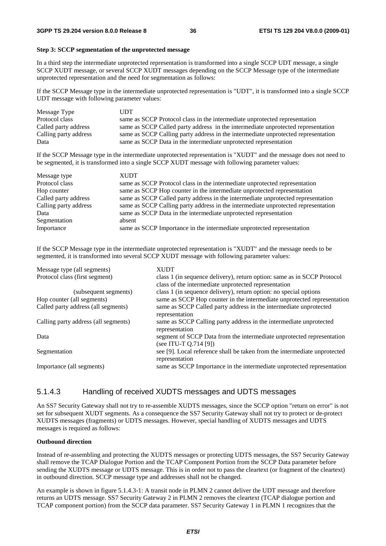#### **Step 3: SCCP segmentation of the unprotected message**

In a third step the intermediate unprotected representation is transformed into a single SCCP UDT message, a single SCCP XUDT message, or several SCCP XUDT messages depending on the SCCP Message type of the intermediate unprotected representation and the need for segmentation as follows:

If the SCCP Message type in the intermediate unprotected representation is "UDT", it is transformed into a single SCCP UDT message with following parameter values:

| Message Type          | UDT                                                                               |
|-----------------------|-----------------------------------------------------------------------------------|
| Protocol class        | same as SCCP Protocol class in the intermediate unprotected representation        |
| Called party address  | same as SCCP Called party address in the intermediate unprotected representation  |
| Calling party address | same as SCCP Calling party address in the intermediate unprotected representation |
| Data                  | same as SCCP Data in the intermediate unprotected representation                  |

If the SCCP Message type in the intermediate unprotected representation is "XUDT" and the message does not need to be segmented, it is transformed into a single SCCP XUDT message with following parameter values:

| Message type          | <b>XUDT</b>                                                                       |
|-----------------------|-----------------------------------------------------------------------------------|
| Protocol class        | same as SCCP Protocol class in the intermediate unprotected representation        |
| Hop counter           | same as SCCP Hop counter in the intermediate unprotected representation           |
| Called party address  | same as SCCP Called party address in the intermediate unprotected representation  |
| Calling party address | same as SCCP Calling party address in the intermediate unprotected representation |
| Data                  | same as SCCP Data in the intermediate unprotected representation                  |
| Segmentation          | absent                                                                            |
| Importance            | same as SCCP Importance in the intermediate unprotected representation            |

If the SCCP Message type in the intermediate unprotected representation is "XUDT" and the message needs to be segmented, it is transformed into several SCCP XUDT message with following parameter values:

| <b>XUDT</b>                                                               |
|---------------------------------------------------------------------------|
| class 1 (in sequence delivery), return option: same as in SCCP Protocol   |
| class of the intermediate unprotected representation                      |
| class 1 (in sequence delivery), return option: no special options         |
| same as SCCP Hop counter in the intermediate unprotected representation   |
| same as SCCP Called party address in the intermediate unprotected         |
| representation                                                            |
| same as SCCP Calling party address in the intermediate unprotected        |
| representation                                                            |
| segment of SCCP Data from the intermediate unprotected representation     |
| (see ITU-T $Q.714$ [9])                                                   |
| see [9]. Local reference shall be taken from the intermediate unprotected |
| representation                                                            |
| same as SCCP Importance in the intermediate unprotected representation    |
|                                                                           |

#### 5.1.4.3 Handling of received XUDTS messages and UDTS messages

An SS7 Security Gateway shall not try to re-assemble XUDTS messages, since the SCCP option "return on error" is not set for subsequent XUDT segments. As a consequence the SS7 Security Gateway shall not try to protect or de-protect XUDTS messages (fragments) or UDTS messages. However, special handling of XUDTS messages and UDTS messages is required as follows:

#### **Outbound direction**

Instead of re-assembling and protecting the XUDTS messages or protecting UDTS messages, the SS7 Security Gateway shall remove the TCAP Dialogue Portion and the TCAP Component Portion from the SCCP Data parameter before sending the XUDTS message or UDTS message. This is in order not to pass the cleartext (or fragment of the cleartext) in outbound direction. SCCP message type and addresses shall not be changed.

An example is shown in figure 5.1.4.3-1: A transit node in PLMN 2 cannot deliver the UDT message and therefore returns an UDTS message. SS7 Security Gateway 2 in PLMN 2 removes the cleartext (TCAP dialogue portion and TCAP component portion) from the SCCP data parameter. SS7 Security Gateway 1 in PLMN 1 recognizes that the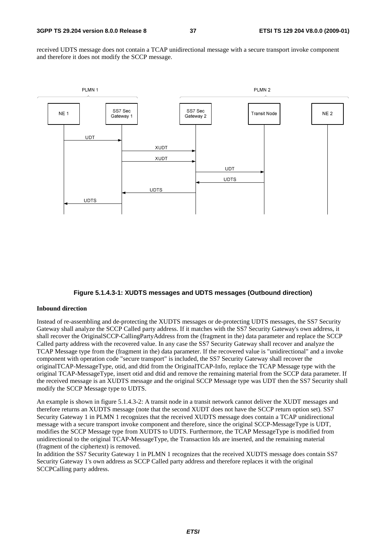received UDTS message does not contain a TCAP unidirectional message with a secure transport invoke component and therefore it does not modify the SCCP message.



#### **Figure 5.1.4.3-1: XUDTS messages and UDTS messages (Outbound direction)**

#### **Inbound direction**

Instead of re-assembling and de-protecting the XUDTS messages or de-protecting UDTS messages, the SS7 Security Gateway shall analyze the SCCP Called party address. If it matches with the SS7 Security Gateway's own address, it shall recover the OriginalSCCP-CallingPartyAddress from the (fragment in the) data parameter and replace the SCCP Called party address with the recovered value. In any case the SS7 Security Gateway shall recover and analyze the TCAP Message type from the (fragment in the) data parameter. If the recovered value is "unidirectional" and a invoke component with operation code "secure transport" is included, the SS7 Security Gateway shall recover the originalTCAP-MessageType, otid, and dtid from the OriginalTCAP-Info, replace the TCAP Message type with the original TCAP-MessageType, insert otid and dtid and remove the remaining material from the SCCP data parameter. If the received message is an XUDTS message and the original SCCP Message type was UDT then the SS7 Security shall modify the SCCP Message type to UDTS.

An example is shown in figure 5.1.4.3-2: A transit node in a transit network cannot deliver the XUDT messages and therefore returns an XUDTS message (note that the second XUDT does not have the SCCP return option set). SS7 Security Gateway 1 in PLMN 1 recognizes that the received XUDTS message does contain a TCAP unidirectional message with a secure transport invoke component and therefore, since the original SCCP-MessageType is UDT, modifies the SCCP Message type from XUDTS to UDTS. Furthermore, the TCAP MessageType is modified from unidirectional to the original TCAP-MessageType, the Transaction Ids are inserted, and the remaining material (fragment of the ciphertext) is removed.

In addition the SS7 Security Gateway 1 in PLMN 1 recognizes that the received XUDTS message does contain SS7 Security Gateway 1's own address as SCCP Called party address and therefore replaces it with the original SCCPCalling party address.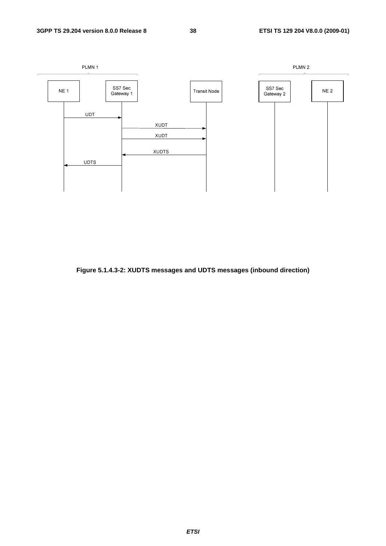

**Figure 5.1.4.3-2: XUDTS messages and UDTS messages (inbound direction)**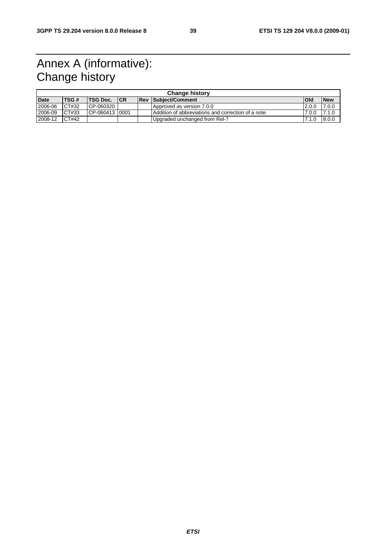### Annex A (informative): Change history

| <b>Change history</b> |       |                 |     |  |                                                    |            |            |  |
|-----------------------|-------|-----------------|-----|--|----------------------------------------------------|------------|------------|--|
| <b>Date</b>           | TSG#  | <b>TSG Doc.</b> | ICR |  | <b>Rev Subject/Comment</b>                         | <b>Old</b> | <b>New</b> |  |
| 2006-06               | CT#32 | CP-060320       |     |  | Approved as version 7.0.0                          | 2.0.0      | 7.0.0      |  |
| 2006-09               | CT#33 | CP-060413 0001  |     |  | Addition of abbreviations and correction of a note | 7.0.0      | 7.1.0      |  |
| 2008-12               | CT#42 |                 |     |  | Upgraded unchanged from Rel-7                      | 7.1.0      | 8.0.0      |  |